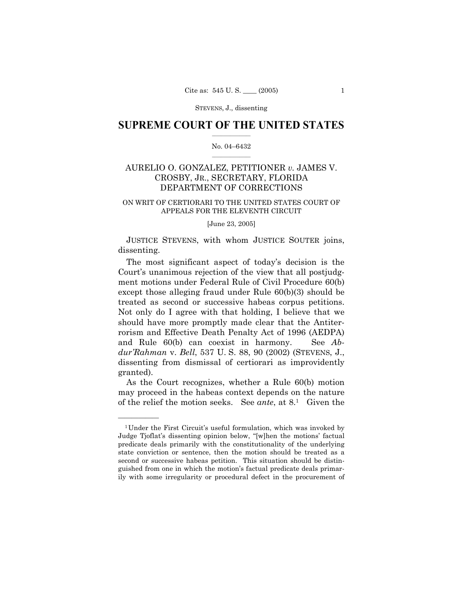# **SUPREME COURT OF THE UNITED STATES**  $\frac{1}{2}$  ,  $\frac{1}{2}$  ,  $\frac{1}{2}$  ,  $\frac{1}{2}$  ,  $\frac{1}{2}$  ,  $\frac{1}{2}$  ,  $\frac{1}{2}$

# No. 04-6432  $\mathcal{L}=\mathcal{L}$

# AURELIO O. GONZALEZ, PETITIONER *v.* JAMES V. CROSBY, JR., SECRETARY, FLORIDA DEPARTMENT OF CORRECTIONS

# ON WRIT OF CERTIORARI TO THE UNITED STATES COURT OF APPEALS FOR THE ELEVENTH CIRCUIT

#### [June 23, 2005]

 JUSTICE STEVENS, with whom JUSTICE SOUTER joins, dissenting.

The most significant aspect of today's decision is the Court's unanimous rejection of the view that all postjudgment motions under Federal Rule of Civil Procedure 60(b) except those alleging fraud under Rule 60(b)(3) should be treated as second or successive habeas corpus petitions. Not only do I agree with that holding, I believe that we should have more promptly made clear that the Antiterrorism and Effective Death Penalty Act of 1996 (AEDPA) and Rule 60(b) can coexist in harmony. See *AbduríRahman* v. *Bell*, 537 U. S. 88, 90 (2002) (STEVENS, J., dissenting from dismissal of certiorari as improvidently granted).

 As the Court recognizes, whether a Rule 60(b) motion may proceed in the habeas context depends on the nature of the relief the motion seeks. See *ante*, at 8.1 Given the

<sup>&</sup>lt;sup>1</sup>Under the First Circuit's useful formulation, which was invoked by Judge Tjoflat's dissenting opinion below, "[w]hen the motions' factual predicate deals primarily with the constitutionality of the underlying state conviction or sentence, then the motion should be treated as a second or successive habeas petition. This situation should be distinguished from one in which the motionís factual predicate deals primarily with some irregularity or procedural defect in the procurement of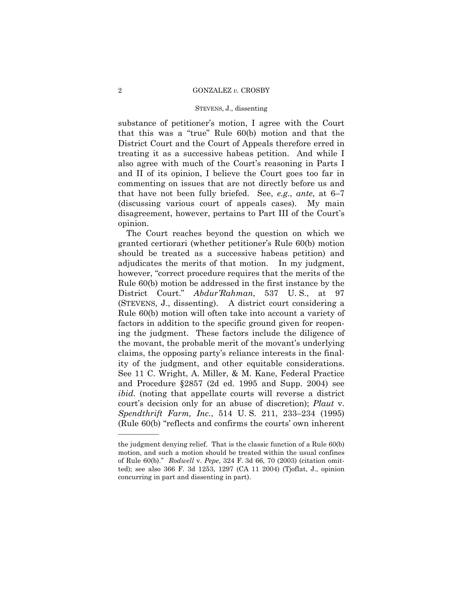#### 2 GONZALEZ *v.* CROSBY

## STEVENS, J., dissenting

substance of petitioner's motion, I agree with the Court that this was a "true" Rule  $60(b)$  motion and that the District Court and the Court of Appeals therefore erred in treating it as a successive habeas petition. And while I also agree with much of the Court's reasoning in Parts I and II of its opinion, I believe the Court goes too far in commenting on issues that are not directly before us and that have not been fully briefed. See, *e.g.*, *ante*, at  $6-7$ (discussing various court of appeals cases). My main disagreement, however, pertains to Part III of the Court's opinion.

 The Court reaches beyond the question on which we granted certiorari (whether petitionerís Rule 60(b) motion should be treated as a successive habeas petition) and adjudicates the merits of that motion. In my judgment, however, "correct procedure requires that the merits of the Rule 60(b) motion be addressed in the first instance by the District Court." *Abdur'Rahman*, 537 U.S., at 97 (STEVENS, J., dissenting). A district court considering a Rule 60(b) motion will often take into account a variety of factors in addition to the specific ground given for reopening the judgment. These factors include the diligence of the movant, the probable merit of the movant's underlying claims, the opposing partyís reliance interests in the finality of the judgment, and other equitable considerations. See 11 C. Wright, A. Miller, & M. Kane, Federal Practice and Procedure ß2857 (2d ed. 1995 and Supp. 2004) see *ibid.* (noting that appellate courts will reverse a district court's decision only for an abuse of discretion); *Plaut v. Spendthrift Farm, Inc.*, 514 U.S. 211, 233-234 (1995)  $(Rule 60(b) "reflects and confirms the courts' own inherent"$ 

the judgment denying relief. That is the classic function of a Rule 60(b) motion, and such a motion should be treated within the usual confines of Rule 60(b).î *Rodwell* v. *Pepe*, 324 F. 3d 66, 70 (2003) (citation omitted); see also 366 F. 3d 1253, 1297 (CA 11 2004) (Tjoflat, J., opinion concurring in part and dissenting in part).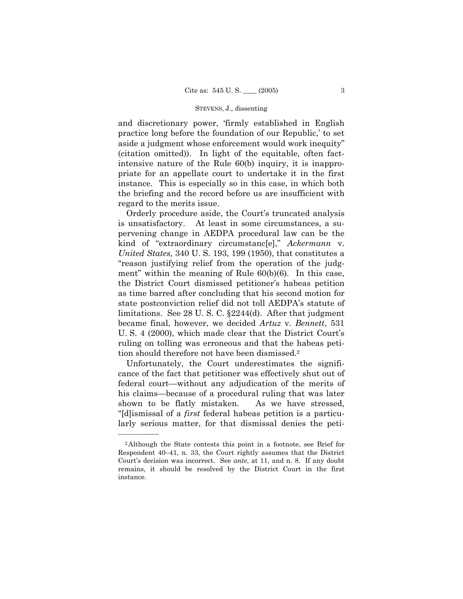and discretionary power, ëfirmly established in English practice long before the foundation of our Republic, to set aside a judgment whose enforcement would work inequity" (citation omitted)). In light of the equitable, often factintensive nature of the Rule 60(b) inquiry, it is inappropriate for an appellate court to undertake it in the first instance. This is especially so in this case, in which both the briefing and the record before us are insufficient with regard to the merits issue.

Orderly procedure aside, the Court's truncated analysis is unsatisfactory. At least in some circumstances, a supervening change in AEDPA procedural law can be the kind of "extraordinary circumstanc[e]," *Ackermann* v. *United States,* 340 U. S. 193, 199 (1950), that constitutes a ìreason justifying relief from the operation of the judgment" within the meaning of Rule  $60(b)(6)$ . In this case, the District Court dismissed petitionerís habeas petition as time barred after concluding that his second motion for state postconviction relief did not toll AEDPA's statute of limitations. See 28 U. S. C. ß2244(d). After that judgment became final, however, we decided *Artuz* v. *Bennett*, 531 U. S. 4 (2000), which made clear that the District Court's ruling on tolling was erroneous and that the habeas petition should therefore not have been dismissed.2

 Unfortunately, the Court underestimates the significance of the fact that petitioner was effectively shut out of federal court—without any adjudication of the merits of his claims—because of a procedural ruling that was later shown to be flatly mistaken. As we have stressed, ì[d]ismissal of a *first* federal habeas petition is a particularly serious matter, for that dismissal denies the peti-

<sup>2</sup>Although the State contests this point in a footnote, see Brief for Respondent  $40-41$ , n. 33, the Court rightly assumes that the District Court's decision was incorrect. See *ante*, at 11, and n. 8. If any doubt remains, it should be resolved by the District Court in the first instance.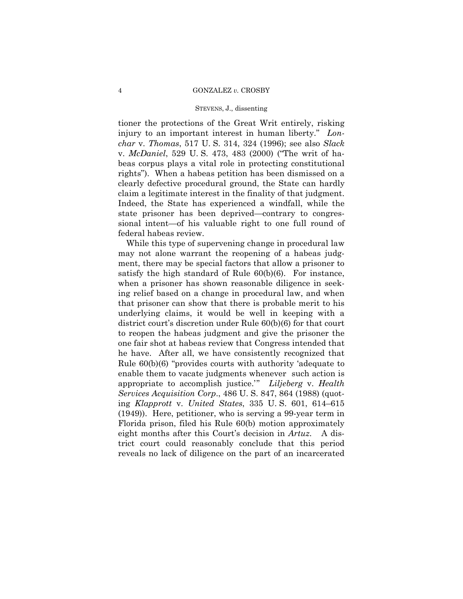#### 4 GONZALEZ *v.* CROSBY

### STEVENS, J., dissenting

tioner the protections of the Great Writ entirely, risking injury to an important interest in human liberty." Lon*char* v. *Thomas*, 517 U. S. 314, 324 (1996); see also *Slack*  v. *McDaniel*, 529 U.S. 473, 483 (2000) ("The writ of habeas corpus plays a vital role in protecting constitutional rights"). When a habeas petition has been dismissed on a clearly defective procedural ground, the State can hardly claim a legitimate interest in the finality of that judgment. Indeed, the State has experienced a windfall, while the state prisoner has been deprived—contrary to congressional intent—of his valuable right to one full round of federal habeas review.

 While this type of supervening change in procedural law may not alone warrant the reopening of a habeas judgment, there may be special factors that allow a prisoner to satisfy the high standard of Rule 60(b)(6). For instance, when a prisoner has shown reasonable diligence in seeking relief based on a change in procedural law, and when that prisoner can show that there is probable merit to his underlying claims, it would be well in keeping with a district court's discretion under Rule 60(b)(6) for that court to reopen the habeas judgment and give the prisoner the one fair shot at habeas review that Congress intended that he have. After all, we have consistently recognized that Rule  $60(b)(6)$  "provides courts with authority 'adequate to enable them to vacate judgments whenever such action is appropriate to accomplish justice.<sup>"</sup> *Liljeberg* **v**. *Health Services Acquisition Corp*., 486 U. S. 847, 864 (1988) (quoting *Klapprott v. United States*, 335 U.S. 601, 614–615 (1949)). Here, petitioner, who is serving a 99-year term in Florida prison, filed his Rule 60(b) motion approximately eight months after this Court's decision in *Artuz*. A district court could reasonably conclude that this period reveals no lack of diligence on the part of an incarcerated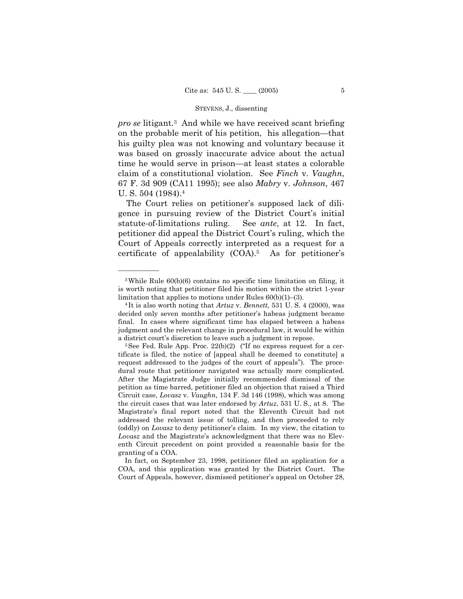*pro se* litigant.3 And while we have received scant briefing on the probable merit of his petition, his allegation—that his guilty plea was not knowing and voluntary because it was based on grossly inaccurate advice about the actual time he would serve in prison—at least states a colorable claim of a constitutional violation. See *Finch* v. *Vaughn*, 67 F. 3d 909 (CA11 1995); see also *Mabry* v. *Johnson*, 467 U. S. 504 (1984).4

The Court relies on petitioner's supposed lack of diligence in pursuing review of the District Court's initial statute-of-limitations ruling. See *ante*, at 12. In fact, petitioner did appeal the District Court's ruling, which the Court of Appeals correctly interpreted as a request for a certificate of appealability  $(COA)^5$ . As for petitioner's

<sup>3</sup>While Rule 60(b)(6) contains no specific time limitation on filing, it is worth noting that petitioner filed his motion within the strict 1-year limitation that applies to motions under Rules 60(b)(1)–(3).<br><sup>4</sup> It is also worth noting that *Artuz* v. *Bennett*, 531 U. S. 4 (2000), was

decided only seven months after petitionerís habeas judgment became final. In cases where significant time has elapsed between a habeas judgment and the relevant change in procedural law, it would be within a district court's discretion to leave such a judgment in repose.<br><sup>5</sup>See Fed. Rule App. Proc. 22(b)(2) ("If no express request for a cer-

tificate is filed, the notice of [appeal shall be deemed to constitute] a request addressed to the judges of the court of appealsî). The procedural route that petitioner navigated was actually more complicated. After the Magistrate Judge initially recommended dismissal of the petition as time barred, petitioner filed an objection that raised a Third Circuit case, *Lovasz* v. *Vaughn*, 134 F. 3d 146 (1998), which was among the circuit cases that was later endorsed by *Artuz*, 531 U. S., at 8. The Magistrateís final report noted that the Eleventh Circuit had not addressed the relevant issue of tolling, and then proceeded to rely (oddly) on *Lovasz* to deny petitioner's claim. In my view, the citation to Lovasz and the Magistrate's acknowledgment that there was no Eleventh Circuit precedent on point provided a reasonable basis for the granting of a COA.

In fact, on September 23, 1998, petitioner filed an application for a COA, and this application was granted by the District Court. The Court of Appeals, however, dismissed petitioner's appeal on October 28,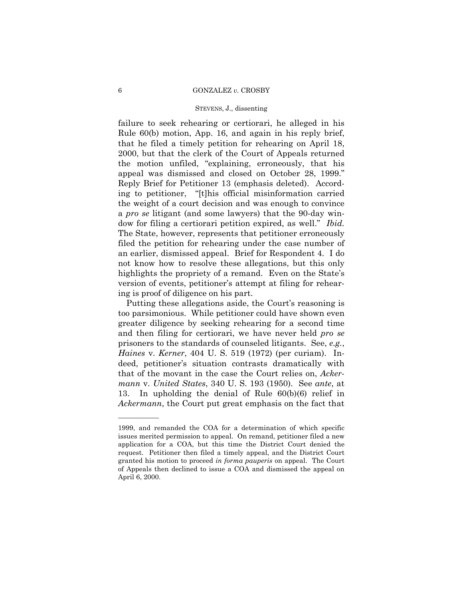#### 6 GONZALEZ *v.* CROSBY

# STEVENS, J., dissenting

failure to seek rehearing or certiorari, he alleged in his Rule 60(b) motion, App. 16, and again in his reply brief, that he filed a timely petition for rehearing on April 18, 2000, but that the clerk of the Court of Appeals returned the motion unfiled, "explaining, erroneously, that his appeal was dismissed and closed on October 28, 1999. Reply Brief for Petitioner 13 (emphasis deleted). According to petitioner, "[t]his official misinformation carried the weight of a court decision and was enough to convince a *pro se* litigant (and some lawyers) that the 90-day window for filing a certiorari petition expired, as well." *Ibid.* The State, however, represents that petitioner erroneously filed the petition for rehearing under the case number of an earlier, dismissed appeal. Brief for Respondent 4. I do not know how to resolve these allegations, but this only highlights the propriety of a remand. Even on the State's version of events, petitioner's attempt at filing for rehearing is proof of diligence on his part.

Putting these allegations aside, the Court's reasoning is too parsimonious. While petitioner could have shown even greater diligence by seeking rehearing for a second time and then filing for certiorari, we have never held *pro se*  prisoners to the standards of counseled litigants. See, *e.g.*, *Haines* v. *Kerner*, 404 U. S. 519 (1972) (per curiam). Indeed, petitioner's situation contrasts dramatically with that of the movant in the case the Court relies on, *Ackermann* v. *United States*, 340 U. S. 193 (1950). See *ante*, at 13. In upholding the denial of Rule 60(b)(6) relief in *Ackermann*, the Court put great emphasis on the fact that

<sup>1999,</sup> and remanded the COA for a determination of which specific issues merited permission to appeal. On remand, petitioner filed a new application for a COA, but this time the District Court denied the request. Petitioner then filed a timely appeal, and the District Court granted his motion to proceed *in forma pauperis* on appeal. The Court of Appeals then declined to issue a COA and dismissed the appeal on April 6, 2000.